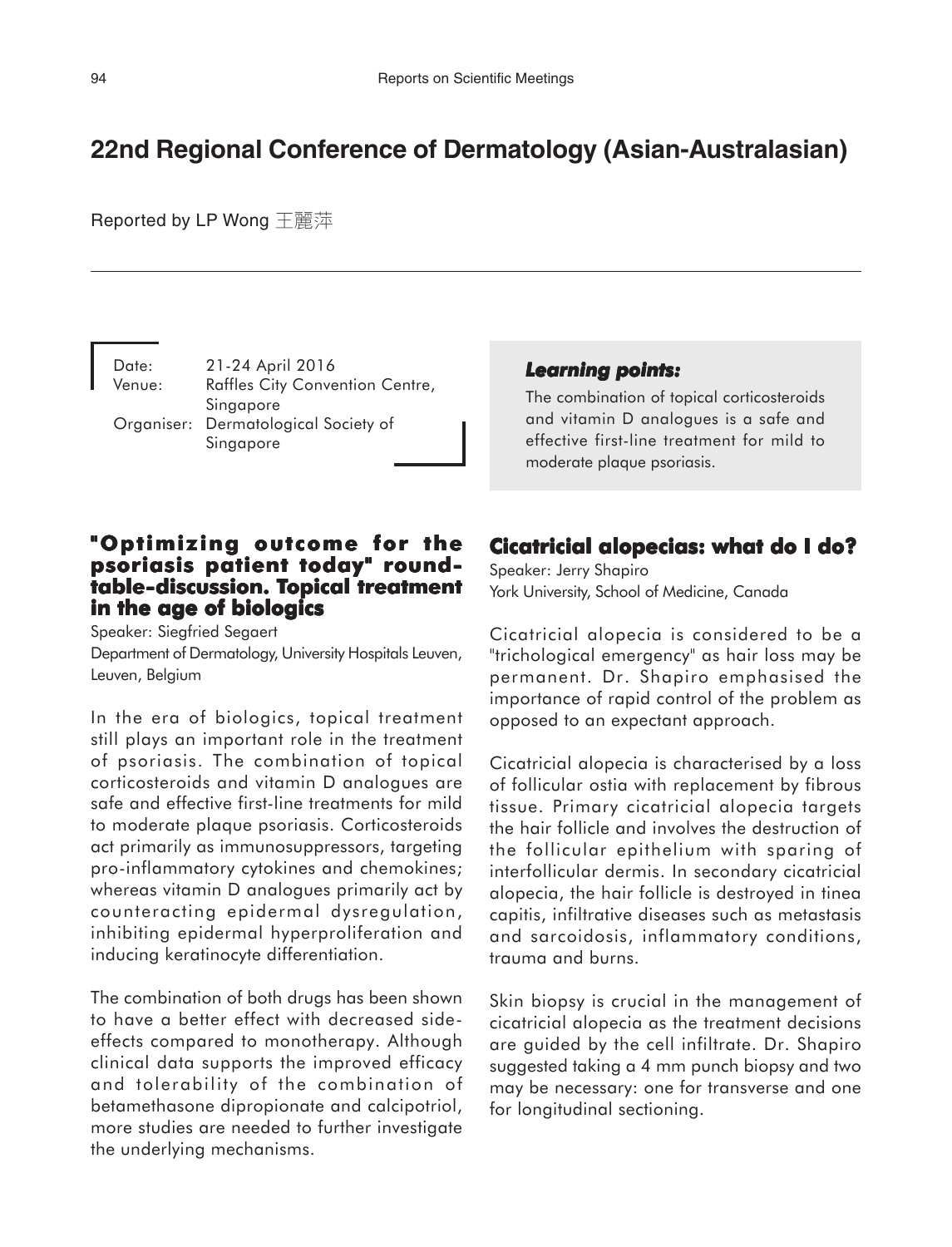# **22nd Regional Conference of Dermatology (Asian-Australasian)**

Reported by LP Wong 王麗萍

Date: 21-24 April 2016 Venue: Raffles City Convention Centre, Singapore Organiser: Dermatological Society of Singapore

#### *Learning points: Learning points:*

The combination of topical corticosteroids and vitamin D analogues is a safe and effective first-line treatment for mild to moderate plaque psoriasis.

### **"Optimizing outcome for the psoriasis patient today" roundtable-discussion. Topical treatment opical treatment in the age of biologics**

Speaker: Siegfried Segaert Department of Dermatology, University Hospitals Leuven, Leuven, Belgium

In the era of biologics, topical treatment still plays an important role in the treatment of psoriasis. The combination of topical corticosteroids and vitamin D analogues are safe and effective first-line treatments for mild to moderate plaque psoriasis. Corticosteroids act primarily as immunosuppressors, targeting pro-inflammatory cytokines and chemokines; whereas vitamin D analogues primarily act by counteracting epidermal dysregulation, inhibiting epidermal hyperproliferation and inducing keratinocyte differentiation.

The combination of both drugs has been shown to have a better effect with decreased sideeffects compared to monotherapy. Although clinical data supports the improved efficacy and tolerability of the combination of betamethasone dipropionate and calcipotriol, more studies are needed to further investigate the underlying mechanisms.

#### **Cicatricial alopecias: what do I do?**

Speaker: Jerry Shapiro York University, School of Medicine, Canada

Cicatricial alopecia is considered to be a "trichological emergency" as hair loss may be permanent. Dr. Shapiro emphasised the importance of rapid control of the problem as opposed to an expectant approach.

Cicatricial alopecia is characterised by a loss of follicular ostia with replacement by fibrous tissue. Primary cicatricial alopecia targets the hair follicle and involves the destruction of the follicular epithelium with sparing of interfollicular dermis. In secondary cicatricial alopecia, the hair follicle is destroyed in tinea capitis, infiltrative diseases such as metastasis and sarcoidosis, inflammatory conditions, trauma and burns.

Skin biopsy is crucial in the management of cicatricial alopecia as the treatment decisions are guided by the cell infiltrate. Dr. Shapiro suggested taking a 4 mm punch biopsy and two may be necessary: one for transverse and one for longitudinal sectioning.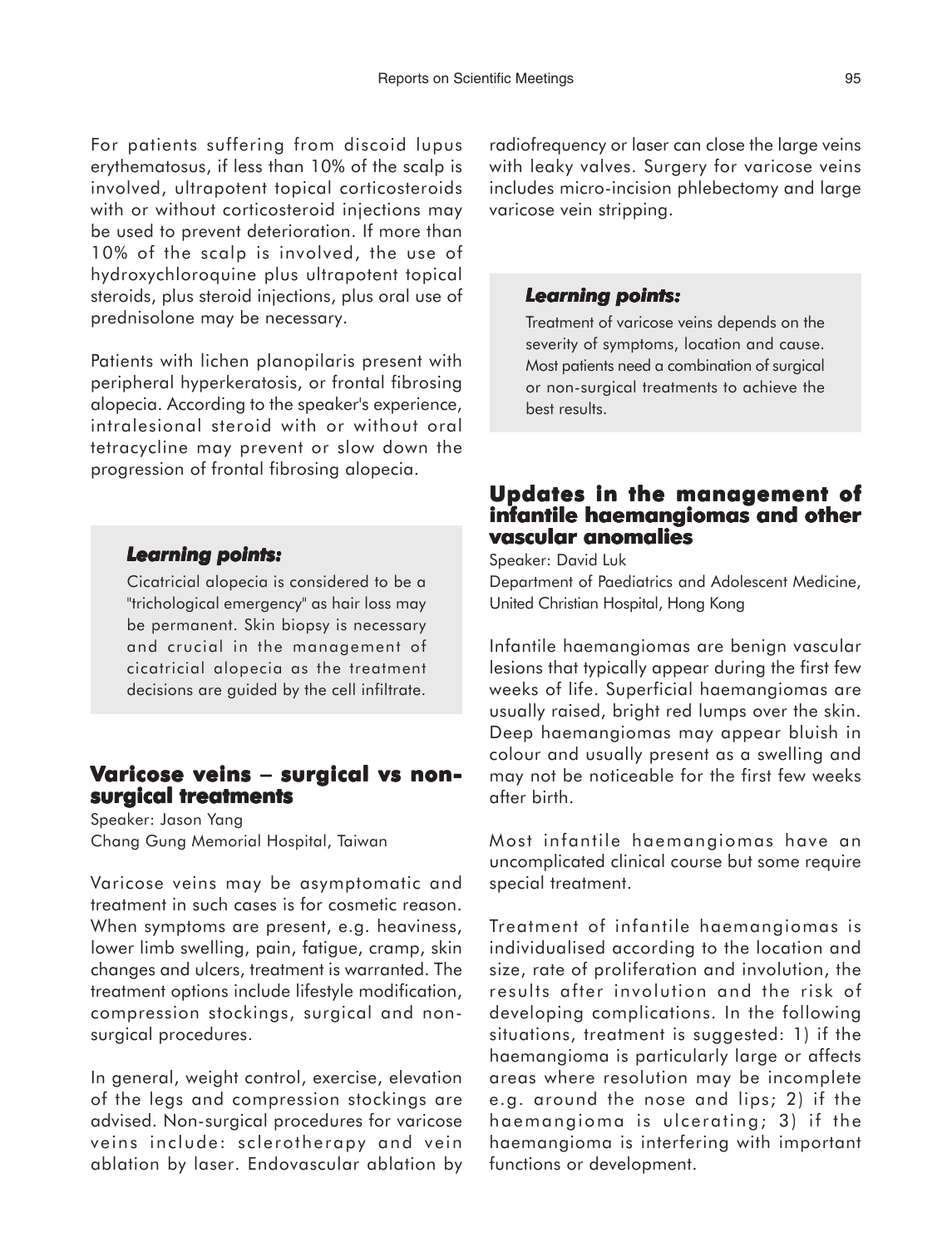For patients suffering from discoid lupus erythematosus, if less than 10% of the scalp is involved, ultrapotent topical corticosteroids with or without corticosteroid injections may be used to prevent deterioration. If more than 10% of the scalp is involved, the use of hydroxychloroquine plus ultrapotent topical steroids, plus steroid injections, plus oral use of prednisolone may be necessary.

Patients with lichen planopilaris present with peripheral hyperkeratosis, or frontal fibrosing alopecia. According to the speaker's experience, intralesional steroid with or without oral tetracycline may prevent or slow down the progression of frontal fibrosing alopecia.

#### *Learning points: Learning*

Cicatricial alopecia is considered to be a "trichological emergency" as hair loss may be permanent. Skin biopsy is necessary and crucial in the management of cicatricial alopecia as the treatment decisions are guided by the cell infiltrate.

### **Varicose veins − surgical vs nonsurgical treatments**

Speaker: Jason Yang Chang Gung Memorial Hospital, Taiwan

Varicose veins may be asymptomatic and treatment in such cases is for cosmetic reason. When symptoms are present, e.g. heaviness, lower limb swelling, pain, fatigue, cramp, skin changes and ulcers, treatment is warranted. The treatment options include lifestyle modification, compression stockings, surgical and nonsurgical procedures.

In general, weight control, exercise, elevation of the legs and compression stockings are advised. Non-surgical procedures for varicose veins include: sclerotherapy and vein ablation by laser. Endovascular ablation by radiofrequency or laser can close the large veins with leaky valves. Surgery for varicose veins includes micro-incision phlebectomy and large varicose vein stripping.

#### *Learning points: Learning points:*

Treatment of varicose veins depends on the severity of symptoms, location and cause. Most patients need a combination of surgical or non-surgical treatments to achieve the best results.

### **Updates in the management of Updates of infantile haemangiomas and other vascular anomalies**

Speaker: David Luk Department of Paediatrics and Adolescent Medicine, United Christian Hospital, Hong Kong

Infantile haemangiomas are benign vascular lesions that typically appear during the first few weeks of life. Superficial haemangiomas are usually raised, bright red lumps over the skin. Deep haemangiomas may appear bluish in colour and usually present as a swelling and may not be noticeable for the first few weeks after birth.

Most infantile haemangiomas have an uncomplicated clinical course but some require special treatment.

Treatment of infantile haemangiomas is individualised according to the location and size, rate of proliferation and involution, the results after involution and the risk of developing complications. In the following situations, treatment is suggested: 1) if the haemangioma is particularly large or affects areas where resolution may be incomplete e.g. around the nose and lips; 2) if the haemangioma is ulcerating; 3) if the haemangioma is interfering with important functions or development.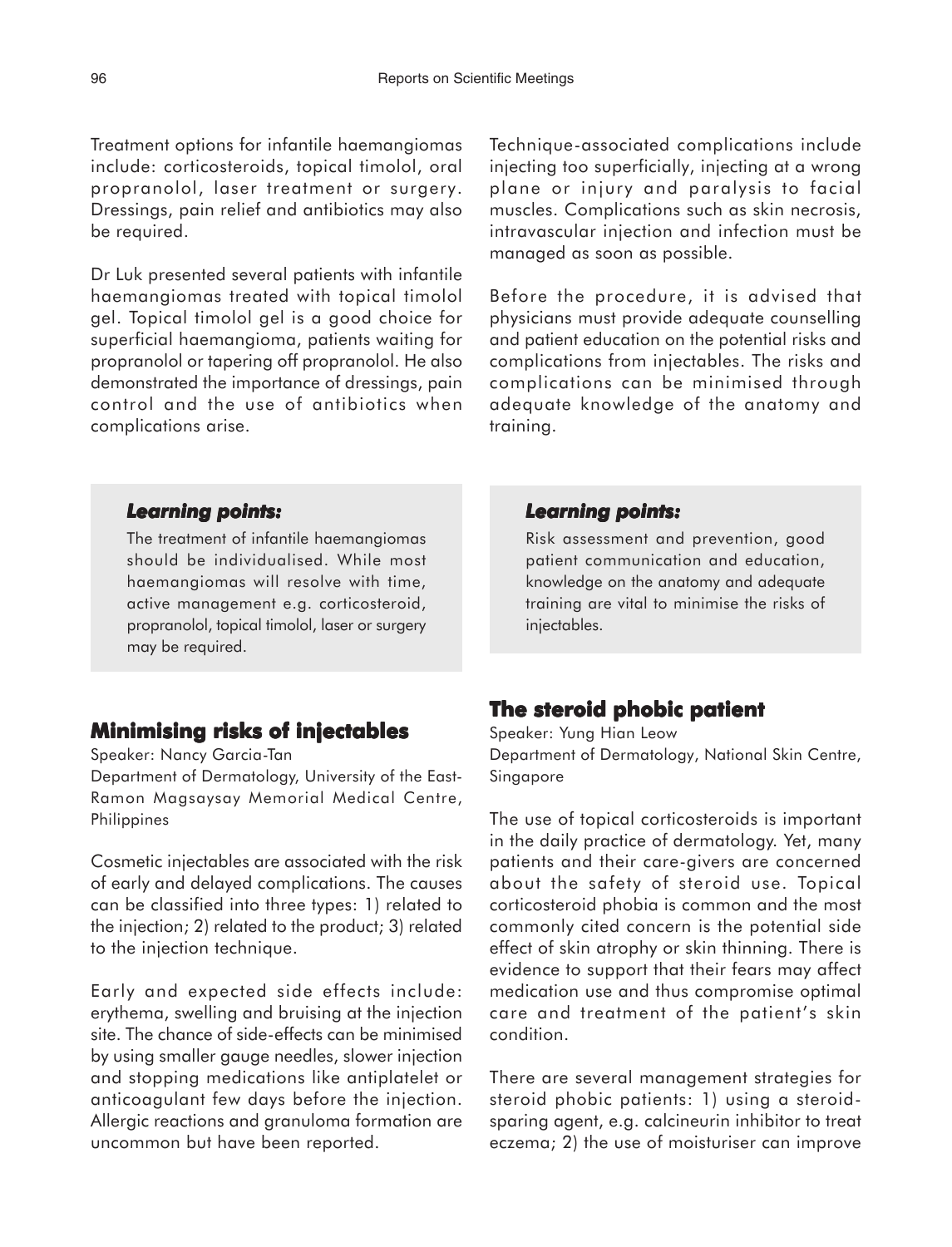Treatment options for infantile haemangiomas include: corticosteroids, topical timolol, oral propranolol, laser treatment or surgery. Dressings, pain relief and antibiotics may also be required.

Dr Luk presented several patients with infantile haemangiomas treated with topical timolol gel. Topical timolol gel is a good choice for superficial haemangioma, patients waiting for propranolol or tapering off propranolol. He also demonstrated the importance of dressings, pain control and the use of antibiotics when complications arise.

Technique-associated complications include injecting too superficially, injecting at a wrong plane or injury and paralysis to facial muscles. Complications such as skin necrosis, intravascular injection and infection must be managed as soon as possible.

Before the procedure, it is advised that physicians must provide adequate counselling and patient education on the potential risks and complications from injectables. The risks and complications can be minimised through adequate knowledge of the anatomy and training.

#### *Learning points: Learning*

The treatment of infantile haemangiomas should be individualised. While most haemangiomas will resolve with time, active management e.g. corticosteroid, propranolol, topical timolol, laser or surgery may be required.

### **Minimising risks of injectables**

Speaker: Nancy Garcia-Tan

Department of Dermatology, University of the East-Ramon Magsaysay Memorial Medical Centre, Philippines

Cosmetic injectables are associated with the risk of early and delayed complications. The causes can be classified into three types: 1) related to the injection; 2) related to the product; 3) related to the injection technique.

Early and expected side effects include: erythema, swelling and bruising at the injection site. The chance of side-effects can be minimised by using smaller gauge needles, slower injection and stopping medications like antiplatelet or anticoagulant few days before the injection. Allergic reactions and granuloma formation are uncommon but have been reported.

#### *Learning points: Learning points:*

Risk assessment and prevention, good patient communication and education, knowledge on the anatomy and adequate training are vital to minimise the risks of injectables.

### **The steroid phobic patient steroid phobic patient**

Speaker: Yung Hian Leow Department of Dermatology, National Skin Centre, Singapore

The use of topical corticosteroids is important in the daily practice of dermatology. Yet, many patients and their care-givers are concerned about the safety of steroid use. Topical corticosteroid phobia is common and the most commonly cited concern is the potential side effect of skin atrophy or skin thinning. There is evidence to support that their fears may affect medication use and thus compromise optimal care and treatment of the patient's skin condition.

There are several management strategies for steroid phobic patients: 1) using a steroidsparing agent, e.g. calcineurin inhibitor to treat eczema; 2) the use of moisturiser can improve